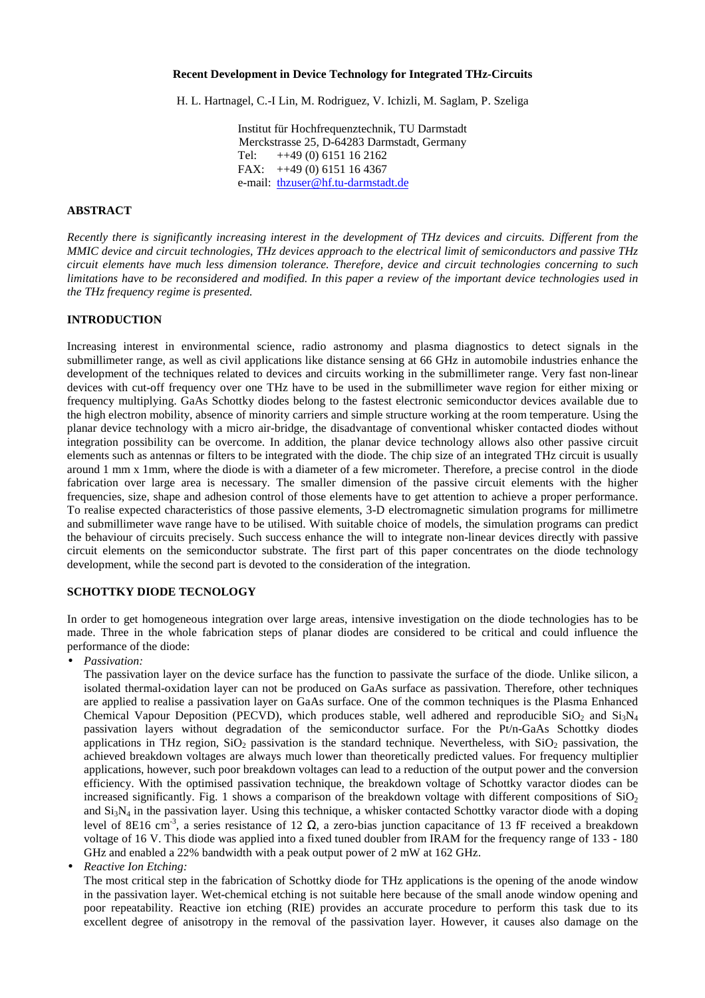### **Recent Development in Device Technology for Integrated THz-Circuits**

H. L. Hartnagel, C.-I Lin, M. Rodriguez, V. Ichizli, M. Saglam, P. Szeliga

Institut für Hochfrequenztechnik, TU Darmstadt Merckstrasse 25, D-64283 Darmstadt, Germany Tel:  $+49(0)$  6151 16 2162 FAX: ++49 (0) 6151 16 4367 e-mail: [thzuser@hf.tu-darmstadt.de](mailto:thzuser@hf.tu-darmstadt.de)

#### **ABSTRACT**

*Recently there is significantly increasing interest in the development of THz devices and circuits. Different from the MMIC device and circuit technologies, THz devices approach to the electrical limit of semiconductors and passive THz circuit elements have much less dimension tolerance. Therefore, device and circuit technologies concerning to such limitations have to be reconsidered and modified. In this paper a review of the important device technologies used in the THz frequency regime is presented.*

### **INTRODUCTION**

Increasing interest in environmental science, radio astronomy and plasma diagnostics to detect signals in the submillimeter range, as well as civil applications like distance sensing at 66 GHz in automobile industries enhance the development of the techniques related to devices and circuits working in the submillimeter range. Very fast non-linear devices with cut-off frequency over one THz have to be used in the submillimeter wave region for either mixing or frequency multiplying. GaAs Schottky diodes belong to the fastest electronic semiconductor devices available due to the high electron mobility, absence of minority carriers and simple structure working at the room temperature. Using the planar device technology with a micro air-bridge, the disadvantage of conventional whisker contacted diodes without integration possibility can be overcome. In addition, the planar device technology allows also other passive circuit elements such as antennas or filters to be integrated with the diode. The chip size of an integrated THz circuit is usually around 1 mm x 1mm, where the diode is with a diameter of a few micrometer. Therefore, a precise control in the diode fabrication over large area is necessary. The smaller dimension of the passive circuit elements with the higher frequencies, size, shape and adhesion control of those elements have to get attention to achieve a proper performance. To realise expected characteristics of those passive elements, 3-D electromagnetic simulation programs for millimetre and submillimeter wave range have to be utilised. With suitable choice of models, the simulation programs can predict the behaviour of circuits precisely. Such success enhance the will to integrate non-linear devices directly with passive circuit elements on the semiconductor substrate. The first part of this paper concentrates on the diode technology development, while the second part is devoted to the consideration of the integration.

### **SCHOTTKY DIODE TECNOLOGY**

In order to get homogeneous integration over large areas, intensive investigation on the diode technologies has to be made. Three in the whole fabrication steps of planar diodes are considered to be critical and could influence the performance of the diode:

• *Passivation:*

The passivation layer on the device surface has the function to passivate the surface of the diode. Unlike silicon, a isolated thermal-oxidation layer can not be produced on GaAs surface as passivation. Therefore, other techniques are applied to realise a passivation layer on GaAs surface. One of the common techniques is the Plasma Enhanced Chemical Vapour Deposition (PECVD), which produces stable, well adhered and reproducible  $SiO<sub>2</sub>$  and  $Si<sub>3</sub>N<sub>4</sub>$ passivation layers without degradation of the semiconductor surface. For the Pt/n-GaAs Schottky diodes applications in THz region,  $SiO<sub>2</sub>$  passivation is the standard technique. Nevertheless, with  $SiO<sub>2</sub>$  passivation, the achieved breakdown voltages are always much lower than theoretically predicted values. For frequency multiplier applications, however, such poor breakdown voltages can lead to a reduction of the output power and the conversion efficiency. With the optimised passivation technique, the breakdown voltage of Schottky varactor diodes can be increased significantly. Fig. 1 shows a comparison of the breakdown voltage with different compositions of  $SiO<sub>2</sub>$ and  $Si<sub>3</sub>N<sub>4</sub>$  in the passivation layer. Using this technique, a whisker contacted Schottky varactor diode with a doping level of 8E16 cm<sup>-3</sup>, a series resistance of 12 Ω, a zero-bias junction capacitance of 13 fF received a breakdown voltage of 16 V. This diode was applied into a fixed tuned doubler from IRAM for the frequency range of 133 - 180 GHz and enabled a 22% bandwidth with a peak output power of 2 mW at 162 GHz.

• *Reactive Ion Etching:*

The most critical step in the fabrication of Schottky diode for THz applications is the opening of the anode window in the passivation layer. Wet-chemical etching is not suitable here because of the small anode window opening and poor repeatability. Reactive ion etching (RIE) provides an accurate procedure to perform this task due to its excellent degree of anisotropy in the removal of the passivation layer. However, it causes also damage on the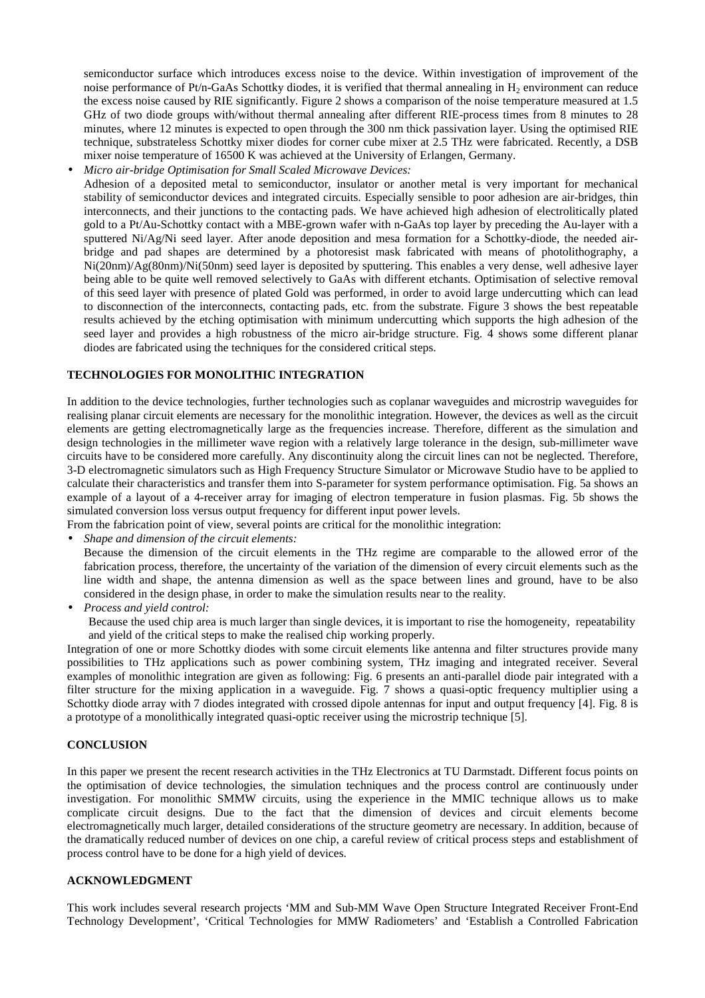semiconductor surface which introduces excess noise to the device. Within investigation of improvement of the noise performance of Pt/n-GaAs Schottky diodes, it is verified that thermal annealing in  $H_2$  environment can reduce the excess noise caused by RIE significantly. Figure 2 shows a comparison of the noise temperature measured at 1.5 GHz of two diode groups with/without thermal annealing after different RIE-process times from 8 minutes to 28 minutes, where 12 minutes is expected to open through the 300 nm thick passivation layer. Using the optimised RIE technique, substrateless Schottky mixer diodes for corner cube mixer at 2.5 THz were fabricated. Recently, a DSB mixer noise temperature of 16500 K was achieved at the University of Erlangen, Germany.

• *Micro air-bridge Optimisation for Small Scaled Microwave Devices:*

Adhesion of a deposited metal to semiconductor, insulator or another metal is very important for mechanical stability of semiconductor devices and integrated circuits. Especially sensible to poor adhesion are air-bridges, thin interconnects, and their junctions to the contacting pads. We have achieved high adhesion of electrolitically plated gold to a Pt/Au-Schottky contact with a MBE-grown wafer with n-GaAs top layer by preceding the Au-layer with a sputtered Ni/Ag/Ni seed layer. After anode deposition and mesa formation for a Schottky-diode, the needed airbridge and pad shapes are determined by a photoresist mask fabricated with means of photolithography, a Ni(20nm)/Ag(80nm)/Ni(50nm) seed layer is deposited by sputtering. This enables a very dense, well adhesive layer being able to be quite well removed selectively to GaAs with different etchants. Optimisation of selective removal of this seed layer with presence of plated Gold was performed, in order to avoid large undercutting which can lead to disconnection of the interconnects, contacting pads, etc. from the substrate. Figure 3 shows the best repeatable results achieved by the etching optimisation with minimum undercutting which supports the high adhesion of the seed layer and provides a high robustness of the micro air-bridge structure. Fig. 4 shows some different planar diodes are fabricated using the techniques for the considered critical steps.

# **TECHNOLOGIES FOR MONOLITHIC INTEGRATION**

In addition to the device technologies, further technologies such as coplanar waveguides and microstrip waveguides for realising planar circuit elements are necessary for the monolithic integration. However, the devices as well as the circuit elements are getting electromagnetically large as the frequencies increase. Therefore, different as the simulation and design technologies in the millimeter wave region with a relatively large tolerance in the design, sub-millimeter wave circuits have to be considered more carefully. Any discontinuity along the circuit lines can not be neglected. Therefore, 3-D electromagnetic simulators such as High Frequency Structure Simulator or Microwave Studio have to be applied to calculate their characteristics and transfer them into S-parameter for system performance optimisation. Fig. 5a shows an example of a layout of a 4-receiver array for imaging of electron temperature in fusion plasmas. Fig. 5b shows the simulated conversion loss versus output frequency for different input power levels.

From the fabrication point of view, several points are critical for the monolithic integration:

• *Shape and dimension of the circuit elements:*

Because the dimension of the circuit elements in the THz regime are comparable to the allowed error of the fabrication process, therefore, the uncertainty of the variation of the dimension of every circuit elements such as the line width and shape, the antenna dimension as well as the space between lines and ground, have to be also considered in the design phase, in order to make the simulation results near to the reality.

• *Process and yield control:*

Because the used chip area is much larger than single devices, it is important to rise the homogeneity, repeatability and yield of the critical steps to make the realised chip working properly.

Integration of one or more Schottky diodes with some circuit elements like antenna and filter structures provide many possibilities to THz applications such as power combining system, THz imaging and integrated receiver. Several examples of monolithic integration are given as following: Fig. 6 presents an anti-parallel diode pair integrated with a filter structure for the mixing application in a waveguide. Fig. 7 shows a quasi-optic frequency multiplier using a Schottky diode array with 7 diodes integrated with crossed dipole antennas for input and output frequency [4]. Fig. 8 is a prototype of a monolithically integrated quasi-optic receiver using the microstrip technique [5].

### **CONCLUSION**

In this paper we present the recent research activities in the THz Electronics at TU Darmstadt. Different focus points on the optimisation of device technologies, the simulation techniques and the process control are continuously under investigation. For monolithic SMMW circuits, using the experience in the MMIC technique allows us to make complicate circuit designs. Due to the fact that the dimension of devices and circuit elements become electromagnetically much larger, detailed considerations of the structure geometry are necessary. In addition, because of the dramatically reduced number of devices on one chip, a careful review of critical process steps and establishment of process control have to be done for a high yield of devices.

# **ACKNOWLEDGMENT**

This work includes several research projects 'MM and Sub-MM Wave Open Structure Integrated Receiver Front-End Technology Development', 'Critical Technologies for MMW Radiometers' and 'Establish a Controlled Fabrication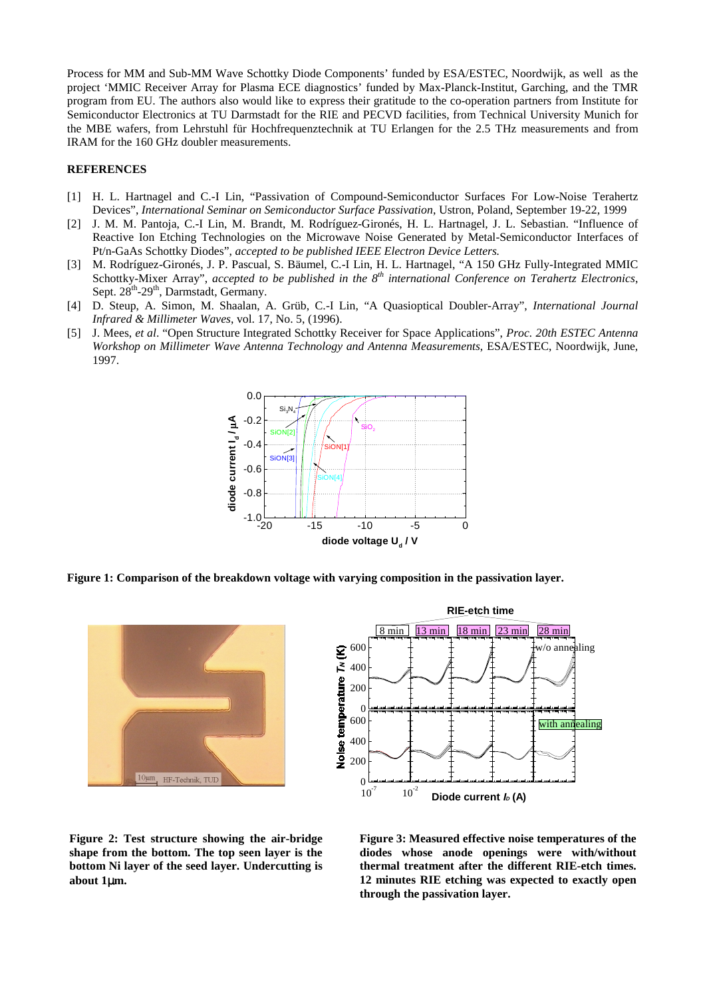Process for MM and Sub-MM Wave Schottky Diode Components' funded by ESA/ESTEC, Noordwijk, as well as the project 'MMIC Receiver Array for Plasma ECE diagnostics' funded by Max-Planck-Institut, Garching, and the TMR program from EU. The authors also would like to express their gratitude to the co-operation partners from Institute for Semiconductor Electronics at TU Darmstadt for the RIE and PECVD facilities, from Technical University Munich for the MBE wafers, from Lehrstuhl für Hochfrequenztechnik at TU Erlangen for the 2.5 THz measurements and from IRAM for the 160 GHz doubler measurements.

#### **REFERENCES**

- [1] H. L. Hartnagel and C.-I Lin, "Passivation of Compound-Semiconductor Surfaces For Low-Noise Terahertz Devices", *International Seminar on Semiconductor Surface Passivation*, Ustron, Poland, September 19-22, 1999
- [2] J. M. M. Pantoja, C.-I Lin, M. Brandt, M. Rodríguez-Gironés, H. L. Hartnagel, J. L. Sebastian. "Influence of Reactive Ion Etching Technologies on the Microwave Noise Generated by Metal-Semiconductor Interfaces of Pt/n-GaAs Schottky Diodes", *accepted to be published IEEE Electron Device Letters.*
- [3] M. Rodríguez-Gironés, J. P. Pascual, S. Bäumel, C.-I Lin, H. L. Hartnagel, "A 150 GHz Fully-Integrated MMIC Schottky-Mixer Array", *accepted to be published in the 8th international Conference on Terahertz Electronics*, Sept. 28<sup>th</sup>-29<sup>th</sup>, Darmstadt, Germany.
- [4] D. Steup, A. Simon, M. Shaalan, A. Grüb, C.-I Lin, "A Quasioptical Doubler-Array", *International Journal Infrared & Millimeter Waves*, vol. 17, No. 5, (1996).
- [5] J. Mees, *et al*. "Open Structure Integrated Schottky Receiver for Space Applications", *Proc. 20th ESTEC Antenna Workshop on Millimeter Wave Antenna Technology and Antenna Measurements*, ESA/ESTEC, Noordwijk, June, 1997.



**Figure 1: Comparison of the breakdown voltage with varying composition in the passivation layer.**





**Figure 2: Test structure showing the air-bridge shape from the bottom. The top seen layer is the bottom Ni layer of the seed layer. Undercutting is about 1**µ**m.**

**Figure 3: Measured effective noise temperatures of the diodes whose anode openings were with/without thermal treatment after the different RIE-etch times. 12 minutes RIE etching was expected to exactly open through the passivation layer.**